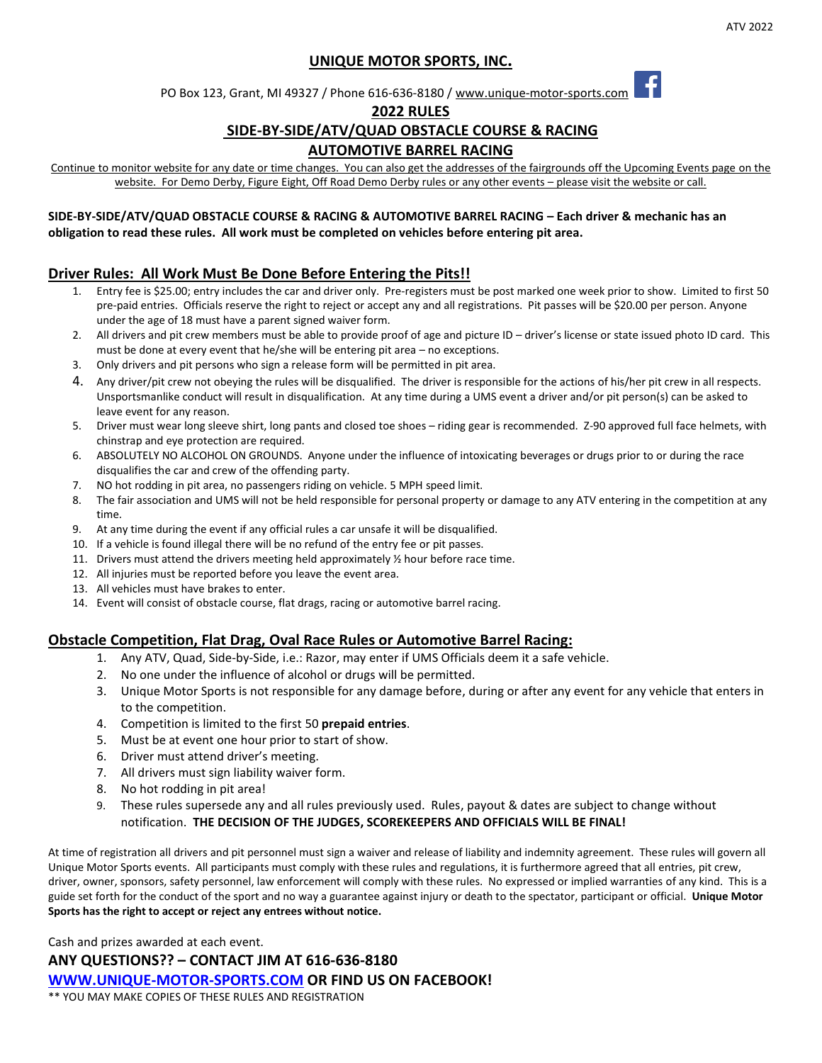# **UNIQUE MOTOR SPORTS, INC.**

PO Box 123, Grant, MI 49327 / Phone 616-636-8180 / www.unique-motor-sports.com

#### **2022 RULES**

## **SIDE-BY-SIDE/ATV/QUAD OBSTACLE COURSE & RACING**

## **AUTOMOTIVE BARREL RACING**

Continue to monitor website for any date or time changes. You can also get the addresses of the fairgrounds off the Upcoming Events page on the website. For Demo Derby, Figure Eight, Off Road Demo Derby rules or any other events - please visit the website or call.

### **SIDE-BY-SIDE/ATV/QUAD OBSTACLE COURSE & RACING & AUTOMOTIVE BARREL RACING – Each driver & mechanic has an obligation to read these rules. All work must be completed on vehicles before entering pit area.**

# **Driver Rules: All Work Must Be Done Before Entering the Pits!!**

- 1. Entry fee is \$25.00; entry includes the car and driver only. Pre-registers must be post marked one week prior to show. Limited to first 50 pre-paid entries. Officials reserve the right to reject or accept any and all registrations. Pit passes will be \$20.00 per person. Anyone under the age of 18 must have a parent signed waiver form.
- 2. All drivers and pit crew members must be able to provide proof of age and picture ID driver's license or state issued photo ID card. This must be done at every event that he/she will be entering pit area – no exceptions.
- 3. Only drivers and pit persons who sign a release form will be permitted in pit area.
- 4. Any driver/pit crew not obeying the rules will be disqualified. The driver is responsible for the actions of his/her pit crew in all respects. Unsportsmanlike conduct will result in disqualification. At any time during a UMS event a driver and/or pit person(s) can be asked to leave event for any reason.
- 5. Driver must wear long sleeve shirt, long pants and closed toe shoes riding gear is recommended. Z-90 approved full face helmets, with chinstrap and eye protection are required.
- 6. ABSOLUTELY NO ALCOHOL ON GROUNDS. Anyone under the influence of intoxicating beverages or drugs prior to or during the race disqualifies the car and crew of the offending party.
- 7. NO hot rodding in pit area, no passengers riding on vehicle. 5 MPH speed limit.
- 8. The fair association and UMS will not be held responsible for personal property or damage to any ATV entering in the competition at any time.
- 9. At any time during the event if any official rules a car unsafe it will be disqualified.
- 10. If a vehicle is found illegal there will be no refund of the entry fee or pit passes.
- 11. Drivers must attend the drivers meeting held approximately  $\frac{1}{2}$  hour before race time.
- 12. All injuries must be reported before you leave the event area.
- 13. All vehicles must have brakes to enter.
- 14. Event will consist of obstacle course, flat drags, racing or automotive barrel racing.

#### **Obstacle Competition, Flat Drag, Oval Race Rules or Automotive Barrel Racing:**

- 1. Any ATV, Quad, Side-by-Side, i.e.: Razor, may enter if UMS Officials deem it a safe vehicle.
- 2. No one under the influence of alcohol or drugs will be permitted.
- 3. Unique Motor Sports is not responsible for any damage before, during or after any event for any vehicle that enters in to the competition.
- 4. Competition is limited to the first 50 **prepaid entries**.
- 5. Must be at event one hour prior to start of show.
- 6. Driver must attend driver's meeting.
- 7. All drivers must sign liability waiver form.
- 8. No hot rodding in pit area!
- 9. These rules supersede any and all rules previously used. Rules, payout & dates are subject to change without notification. **THE DECISION OF THE JUDGES, SCOREKEEPERS AND OFFICIALS WILL BE FINAL!**

At time of registration all drivers and pit personnel must sign a waiver and release of liability and indemnity agreement. These rules will govern all Unique Motor Sports events. All participants must comply with these rules and regulations, it is furthermore agreed that all entries, pit crew, driver, owner, sponsors, safety personnel, law enforcement will comply with these rules. No expressed or implied warranties of any kind. This is a guide set forth for the conduct of the sport and no way a guarantee against injury or death to the spectator, participant or official. **Unique Motor Sports has the right to accept or reject any entrees without notice.**

Cash and prizes awarded at each event.

**ANY QUESTIONS?? – CONTACT JIM AT 616-636-8180**

**[WWW.UNIQUE-MOTOR-SPORTS.COM](http://www.unique-motor-sports.com/) OR FIND US ON FACEBOOK!**

\*\* YOU MAY MAKE COPIES OF THESE RULES AND REGISTRATION